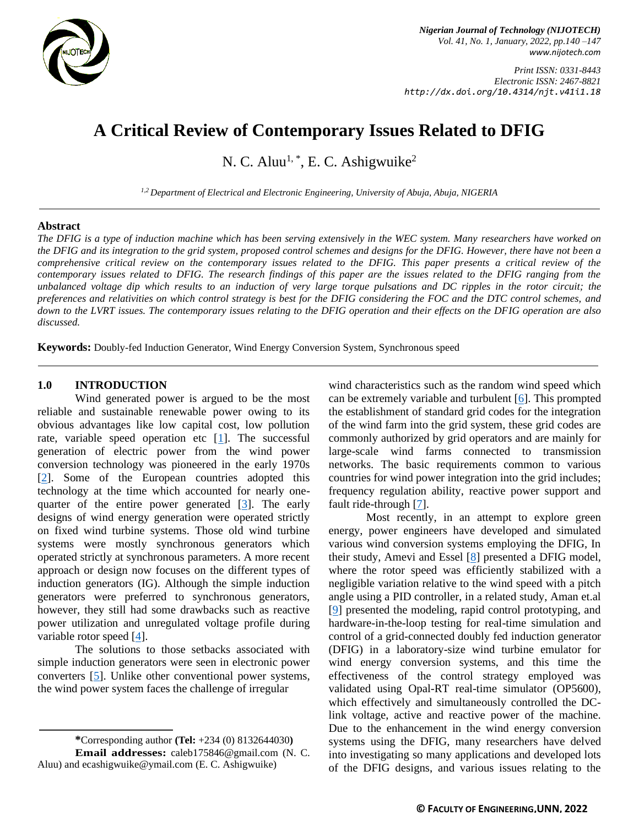

*Nigerian Journal of Technology (NIJOTECH) Vol. 41, No. 1, January, 2022, pp.140 –147 [www.nijotech.com](http://www.nijotech.com/)*

*Print ISSN: 0331-8443 Electronic ISSN: 2467-8821 http://dx.doi.org/10.4314/njt.v41i1.18*

# **A Critical Review of Contemporary Issues Related to DFIG**

N. C. Aluu<sup>1, \*</sup>, E. C. Ashigwuike<sup>2</sup>

*1,2 Department of Electrical and Electronic Engineering, University of Abuja, Abuja, NIGERIA*

#### **Abstract**

*The DFIG is a type of induction machine which has been serving extensively in the WEC system. Many researchers have worked on the DFIG and its integration to the grid system, proposed control schemes and designs for the DFIG. However, there have not been a comprehensive critical review on the contemporary issues related to the DFIG. This paper presents a critical review of the contemporary issues related to DFIG. The research findings of this paper are the issues related to the DFIG ranging from the unbalanced voltage dip which results to an induction of very large torque pulsations and DC ripples in the rotor circuit; the preferences and relativities on which control strategy is best for the DFIG considering the FOC and the DTC control schemes, and down to the LVRT issues. The contemporary issues relating to the DFIG operation and their effects on the DFIG operation are also discussed.*

**Keywords:** Doubly-fed Induction Generator, Wind Energy Conversion System, Synchronous speed

#### **1.0 INTRODUCTION**

Wind generated power is argued to be the most reliable and sustainable renewable power owing to its obvious advantages like low capital cost, low pollution rate, variable speed operation etc [\[1\]](#page-5-0). The successful generation of electric power from the wind power conversion technology was pioneered in the early 1970s [\[2\]](#page-5-1). Some of the European countries adopted this technology at the time which accounted for nearly onequarter of the entire power generated [\[3\]](#page-5-2). The early designs of wind energy generation were operated strictly on fixed wind turbine systems. Those old wind turbine systems were mostly synchronous generators which operated strictly at synchronous parameters. A more recent approach or design now focuses on the different types of induction generators (IG). Although the simple induction generators were preferred to synchronous generators, however, they still had some drawbacks such as reactive power utilization and unregulated voltage profile during variable rotor speed [\[4\]](#page-5-3).

The solutions to those setbacks associated with simple induction generators were seen in electronic power converters [\[5\]](#page-5-4). Unlike other conventional power systems, the wind power system faces the challenge of irregular

wind characteristics such as the random wind speed which can be extremely variable and turbulent [\[6\]](#page-5-5). This prompted the establishment of standard grid codes for the integration of the wind farm into the grid system, these grid codes are commonly authorized by grid operators and are mainly for large-scale wind farms connected to transmission networks. The basic requirements common to various countries for wind power integration into the grid includes; frequency regulation ability, reactive power support and fault ride-through [\[7\]](#page-5-6).

Most recently, in an attempt to explore green energy, power engineers have developed and simulated various wind conversion systems employing the DFIG, In their study, Amevi and Essel [\[8\]](#page-5-7) presented a DFIG model, where the rotor speed was efficiently stabilized with a negligible variation relative to the wind speed with a pitch angle using a PID controller, in a related study, Aman et.al [\[9\]](#page-5-8) presented the modeling, rapid control prototyping, and hardware-in-the-loop testing for real-time simulation and control of a grid-connected doubly fed induction generator (DFIG) in a laboratory-size wind turbine emulator for wind energy conversion systems, and this time the effectiveness of the control strategy employed was validated using Opal-RT real-time simulator (OP5600), which effectively and simultaneously controlled the DClink voltage, active and reactive power of the machine. Due to the enhancement in the wind energy conversion systems using the DFIG, many researchers have delved into investigating so many applications and developed lots of the DFIG designs, and various issues relating to the

**<sup>\*</sup>**Corresponding author **[\(Te](mailto:samnnaemeka.ugwu@unn.edu.ng)l:** +234 (0) 8132644030**) Email addresses:** [caleb175846@gmail.com](mailto:caleb175846@gmail.com) (N. C. Aluu) and [ecashigwuike@ymail.com](mailto:ecashigwuike@ymail.com) (E. C. Ashigwuike)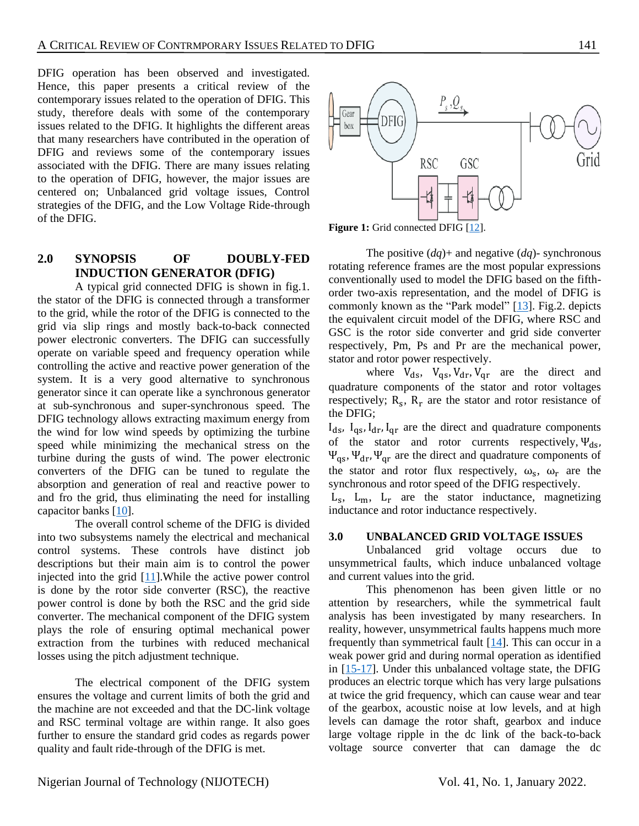DFIG operation has been observed and investigated. Hence, this paper presents a critical review of the contemporary issues related to the operation of DFIG. This study, therefore deals with some of the contemporary issues related to the DFIG. It highlights the different areas that many researchers have contributed in the operation of DFIG and reviews some of the contemporary issues associated with the DFIG. There are many issues relating to the operation of DFIG, however, the major issues are centered on; Unbalanced grid voltage issues, Control strategies of the DFIG, and the Low Voltage Ride-through of the DFIG.

# **2.0 SYNOPSIS OF DOUBLY-FED INDUCTION GENERATOR (DFIG)**

A typical grid connected DFIG is shown in fig.1. the stator of the DFIG is connected through a transformer to the grid, while the rotor of the DFIG is connected to the grid via slip rings and mostly back-to-back connected power electronic converters. The DFIG can successfully operate on variable speed and frequency operation while controlling the active and reactive power generation of the system. It is a very good alternative to synchronous generator since it can operate like a synchronous generator at sub-synchronous and super-synchronous speed. The DFIG technology allows extracting maximum energy from the wind for low wind speeds by optimizing the turbine speed while minimizing the mechanical stress on the turbine during the gusts of wind. The power electronic converters of the DFIG can be tuned to regulate the absorption and generation of real and reactive power to and fro the grid, thus eliminating the need for installing capacitor banks [\[10\]](#page-5-9).

The overall control scheme of the DFIG is divided into two subsystems namely the electrical and mechanical control systems. These controls have distinct job descriptions but their main aim is to control the power injected into the grid [\[11\]](#page-5-10).While the active power control is done by the rotor side converter (RSC), the reactive power control is done by both the RSC and the grid side converter. The mechanical component of the DFIG system plays the role of ensuring optimal mechanical power extraction from the turbines with reduced mechanical losses using the pitch adjustment technique.

The electrical component of the DFIG system ensures the voltage and current limits of both the grid and the machine are not exceeded and that the DC-link voltage and RSC terminal voltage are within range. It also goes further to ensure the standard grid codes as regards power quality and fault ride-through of the DFIG is met.



**Figure 1:** Grid connected DFIG [\[12\]](#page-5-11).

The positive  $(dq)$ + and negative  $(dq)$ - synchronous rotating reference frames are the most popular expressions conventionally used to model the DFIG based on the fifthorder two-axis representation, and the model of DFIG is commonly known as the "Park model" [\[13\]](#page-5-12). Fig.2. depicts the equivalent circuit model of the DFIG, where RSC and GSC is the rotor side converter and grid side converter respectively, Pm, Ps and Pr are the mechanical power, stator and rotor power respectively.

where  $V_{ds}$ ,  $V_{qs}$ ,  $V_{dr}$ ,  $V_{qr}$  are the direct and quadrature components of the stator and rotor voltages respectively;  $R_s$ ,  $R_r$  are the stator and rotor resistance of the DFIG;

 $I_{ds}$ ,  $I_{qs}$ ,  $I_{dr}$ ,  $I_{qr}$  are the direct and quadrature components of the stator and rotor currents respectively,  $\Psi_{ds}$ ,  $\Psi_{\text{qs}}$ ,  $\Psi_{\text{dr}}$ ,  $\Psi_{\text{qr}}$  are the direct and quadrature components of the stator and rotor flux respectively,  $\omega_s$ ,  $\omega_r$  are the synchronous and rotor speed of the DFIG respectively.

Ls , Lm, L<sup>r</sup> are the stator inductance, magnetizing inductance and rotor inductance respectively.

#### **3.0 UNBALANCED GRID VOLTAGE ISSUES**

Unbalanced grid voltage occurs due to unsymmetrical faults, which induce unbalanced voltage and current values into the grid.

This phenomenon has been given little or no attention by researchers, while the symmetrical fault analysis has been investigated by many researchers. In reality, however, unsymmetrical faults happens much more frequently than symmetrical fault  $[14]$ . This can occur in a weak power grid and during normal operation as identified in [\[15-17\]](#page-5-14). Under this unbalanced voltage state, the DFIG produces an electric torque which has very large pulsations at twice the grid frequency, which can cause wear and tear of the gearbox, acoustic noise at low levels, and at high levels can damage the rotor shaft, gearbox and induce large voltage ripple in the dc link of the back-to-back voltage source converter that can damage the dc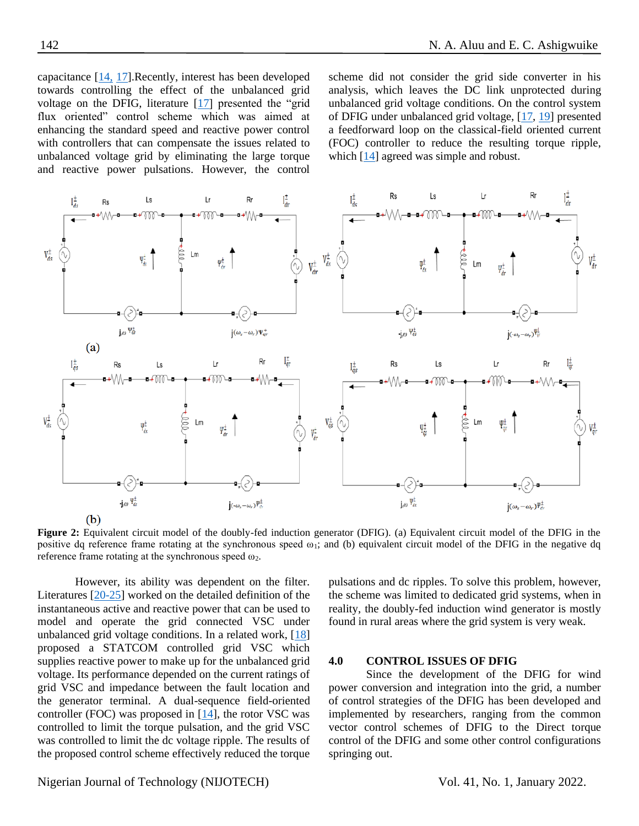capacitance [\[14,](#page-5-13) [17\]](#page-5-15).Recently, interest has been developed towards controlling the effect of the unbalanced grid voltage on the DFIG, literature [\[17\]](#page-5-15) presented the "grid flux oriented" control scheme which was aimed at enhancing the standard speed and reactive power control with controllers that can compensate the issues related to unbalanced voltage grid by eliminating the large torque and reactive power pulsations. However, the control scheme did not consider the grid side converter in his analysis, which leaves the DC link unprotected during unbalanced grid voltage conditions. On the control system of DFIG under unbalanced grid voltage, [\[17,](#page-5-15) [19\]](#page-5-16) presented a feedforward loop on the classical-field oriented current (FOC) controller to reduce the resulting torque ripple, which [\[14\]](#page-5-13) agreed was simple and robust.



**Figure 2:** Equivalent circuit model of the doubly-fed induction generator (DFIG). (a) Equivalent circuit model of the DFIG in the positive dq reference frame rotating at the synchronous speed  $\omega_1$ ; and (b) equivalent circuit model of the DFIG in the negative dq reference frame rotating at the synchronous speed  $\omega_2$ .

However, its ability was dependent on the filter. Literatures [\[20-25\]](#page-5-17) worked on the detailed definition of the instantaneous active and reactive power that can be used to model and operate the grid connected VSC under unbalanced grid voltage conditions. In a related work, [\[18\]](#page-5-18) proposed a STATCOM controlled grid VSC which supplies reactive power to make up for the unbalanced grid voltage. Its performance depended on the current ratings of grid VSC and impedance between the fault location and the generator terminal. A dual-sequence field-oriented controller (FOC) was proposed in [\[14\]](#page-5-13), the rotor VSC was controlled to limit the torque pulsation, and the grid VSC was controlled to limit the dc voltage ripple. The results of the proposed control scheme effectively reduced the torque

pulsations and dc ripples. To solve this problem, however, the scheme was limited to dedicated grid systems, when in reality, the doubly-fed induction wind generator is mostly found in rural areas where the grid system is very weak.

#### **4.0 CONTROL ISSUES OF DFIG**

Since the development of the DFIG for wind power conversion and integration into the grid, a number of control strategies of the DFIG has been developed and implemented by researchers, ranging from the common vector control schemes of DFIG to the Direct torque control of the DFIG and some other control configurations springing out.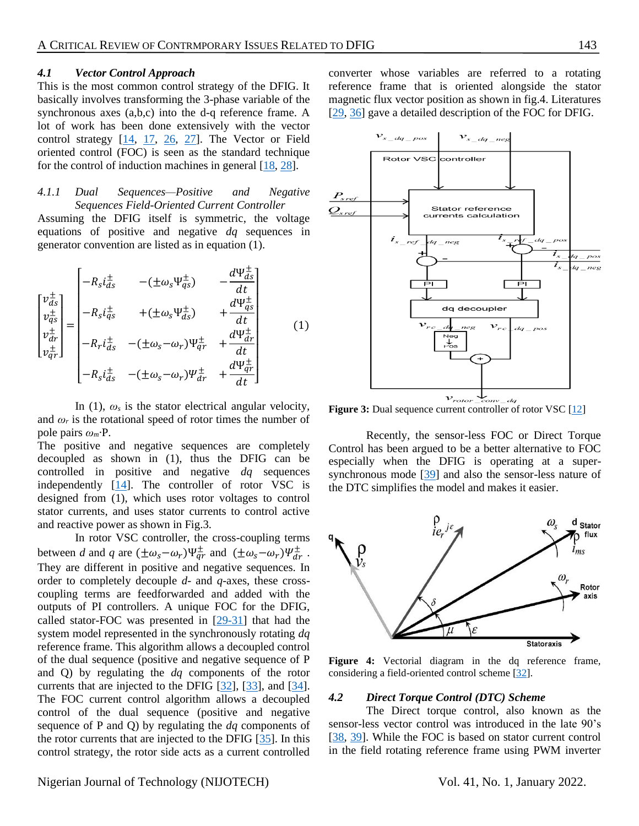#### *4.1 Vector Control Approach*

This is the most common control strategy of the DFIG. It basically involves transforming the 3-phase variable of the synchronous axes (a,b,c) into the d-q reference frame. A lot of work has been done extensively with the vector control strategy [\[14,](#page-5-13) [17,](#page-5-15) [26,](#page-6-0) [27\]](#page-6-1). The Vector or Field oriented control (FOC) is seen as the standard technique for the control of induction machines in general [\[18,](#page-5-18) [28\]](#page-6-2).

#### *4.1.1 Dual Sequences—Positive and Negative Sequences Field-Oriented Current Controller*

Assuming the DFIG itself is symmetric, the voltage equations of positive and negative *dq* sequences in generator convention are listed as in equation (1).

$$
\begin{bmatrix}\nv_{ds}^{\pm} \\
v_{ds}^{\pm} \\
v_{dr}^{\pm} \\
v_{qr}^{\pm}\n\end{bmatrix} = \begin{bmatrix}\n-R_s i_{ds}^{\pm} & -( \pm \omega_s \Psi_{qs}^{\pm}) & -\frac{d\Psi_{ds}^{\pm}}{dt} \\
-R_s i_{qs}^{\pm} & + (\pm \omega_s \Psi_{ds}^{\pm}) & +\frac{d\Psi_{qs}^{\pm}}{dt} \\
-R_r i_{ds}^{\pm} & -(\pm \omega_s - \omega_r) \Psi_{qr}^{\pm} & +\frac{d\Psi_{qr}^{\pm}}{dt} \\
-R_s i_{ds}^{\pm} & -(\pm \omega_s - \omega_r) \Psi_{qr}^{\pm} & +\frac{d\Psi_{qr}^{\pm}}{dt}\n\end{bmatrix} (1)
$$

In (1),  $\omega_s$  is the stator electrical angular velocity, and  $\omega_r$  is the rotational speed of rotor times the number of pole pairs *ωm·*P.

The positive and negative sequences are completely decoupled as shown in (1), thus the DFIG can be controlled in positive and negative *dq* sequences independently  $[14]$ . The controller of rotor VSC is designed from (1), which uses rotor voltages to control stator currents, and uses stator currents to control active and reactive power as shown in Fig.3.

In rotor VSC controller, the cross-coupling terms between *d* and *q* are  $(\pm \omega_s - \omega_r)\Psi_{qr}^{\pm}$  and  $(\pm \omega_s - \omega_r)\Psi_{qr}^{\pm}$ . They are different in positive and negative sequences. In order to completely decouple *d*- and *q*-axes, these crosscoupling terms are feedforwarded and added with the outputs of PI controllers. A unique FOC for the DFIG, called stator-FOC was presented in [\[29-31\]](#page-6-3) that had the system model represented in the synchronously rotating *dq* reference frame. This algorithm allows a decoupled control of the dual sequence (positive and negative sequence of P and Q) by regulating the *dq* components of the rotor currents that are injected to the DFIG [\[32\]](#page-6-4), [\[33\]](#page-5-12), and [\[34\]](#page-6-5). The FOC current control algorithm allows a decoupled control of the dual sequence (positive and negative sequence of P and Q) by regulating the *dq* components of the rotor currents that are injected to the DFIG [\[35\]](#page-6-5). In this control strategy, the rotor side acts as a current controlled

converter whose variables are referred to a rotating reference frame that is oriented alongside the stator magnetic flux vector position as shown in fig.4. Literatures [\[29,](#page-6-3) [36\]](#page-6-6) gave a detailed description of the FOC for DFIG.



**Figure 3:** Dual sequence current controller of rotor VSC [\[12\]](#page-5-11)

Recently, the sensor-less FOC or Direct Torque Control has been argued to be a better alternative to FOC especially when the DFIG is operating at a super-synchronous mode [\[39\]](#page-6-7) and also the sensor-less nature of the DTC simplifies the model and makes it easier.



Figure 4: Vectorial diagram in the dq reference frame, considering a field-oriented control scheme [\[32\]](#page-6-4).

#### *4.2 Direct Torque Control (DTC) Scheme*

The Direct torque control, also known as the sensor-less vector control was introduced in the late 90's [\[38,](#page-6-8) [39\]](#page-6-7). While the FOC is based on stator current control in the field rotating reference frame using PWM inverter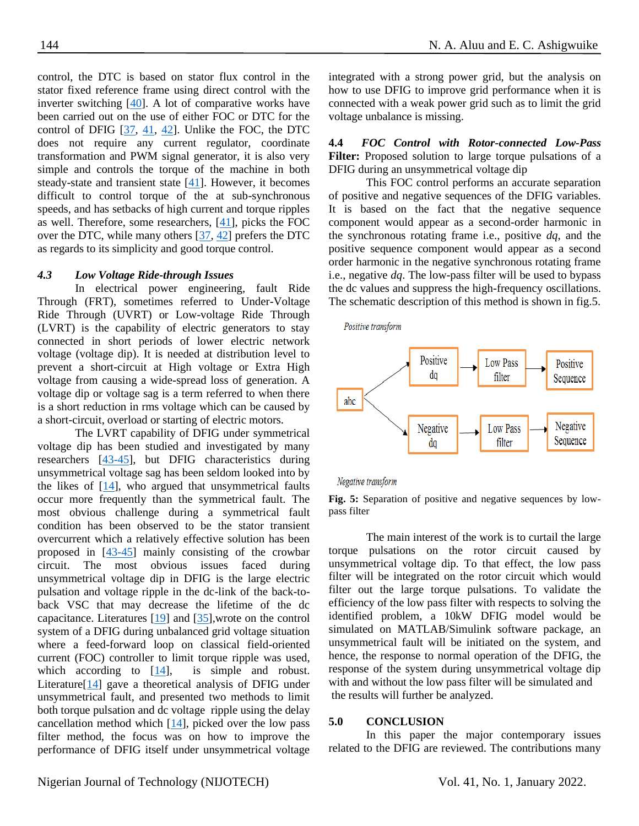control, the DTC is based on stator flux control in the stator fixed reference frame using direct control with the inverter switching [\[40\]](#page-6-9). A lot of comparative works have been carried out on the use of either FOC or DTC for the control of DFIG [\[37,](#page-6-10) [41,](#page-6-11) [42\]](#page-6-12). Unlike the FOC, the DTC does not require any current regulator, coordinate transformation and PWM signal generator, it is also very simple and controls the torque of the machine in both steady-state and transient state  $[41]$ . However, it becomes difficult to control torque of the at sub-synchronous speeds, and has setbacks of high current and torque ripples as well. Therefore, some researchers, [\[41\]](#page-6-11), picks the FOC over the DTC, while many others  $[37, 42]$  $[37, 42]$  prefers the DTC as regards to its simplicity and good torque control.

## *4.3 Low Voltage Ride-through Issues*

In electrical power engineering, fault Ride Through (FRT), sometimes referred to Under-Voltage Ride Through (UVRT) or Low-voltage Ride Through (LVRT) is the capability of electric generators to stay connected in short periods of lower electric network voltage (voltage dip). It is needed at distribution level to prevent a short-circuit at High voltage or Extra High voltage from causing a wide-spread loss of generation. A voltage dip or voltage sag is a term referred to when there is a short reduction in rms voltage which can be caused by a short-circuit, overload or starting of electric motors.

The LVRT capability of DFIG under symmetrical voltage dip has been studied and investigated by many researchers [\[43](#page-7-0)[-45\]](#page-7-1), but DFIG characteristics during unsymmetrical voltage sag has been seldom looked into by the likes of [\[14\]](#page-5-13), who argued that unsymmetrical faults occur more frequently than the symmetrical fault. The most obvious challenge during a symmetrical fault condition has been observed to be the stator transient overcurrent which a relatively effective solution has been proposed in [\[43](#page-7-0)[-45\]](#page-7-1) mainly consisting of the crowbar circuit. The most obvious issues faced during unsymmetrical voltage dip in DFIG is the large electric pulsation and voltage ripple in the dc-link of the back-toback VSC that may decrease the lifetime of the dc capacitance. Literatures [\[19\]](#page-5-16) and [\[35\]](#page-6-13),wrote on the control system of a DFIG during unbalanced grid voltage situation where a feed-forward loop on classical field-oriented current (FOC) controller to limit torque ripple was used, which according to [\[14\]](#page-5-13), is simple and robust. Literature[\[14\]](#page-5-13) gave a theoretical analysis of DFIG under unsymmetrical fault, and presented two methods to limit both torque pulsation and dc voltage ripple using the delay cancellation method which [\[14\]](#page-5-13), picked over the low pass filter method, the focus was on how to improve the performance of DFIG itself under unsymmetrical voltage

integrated with a strong power grid, but the analysis on how to use DFIG to improve grid performance when it is connected with a weak power grid such as to limit the grid voltage unbalance is missing.

**4.4** *FOC Control with Rotor-connected Low-Pass* **Filter:** Proposed solution to large torque pulsations of a DFIG during an unsymmetrical voltage dip

This FOC control performs an accurate separation of positive and negative sequences of the DFIG variables. It is based on the fact that the negative sequence component would appear as a second-order harmonic in the synchronous rotating frame i.e., positive *dq*, and the positive sequence component would appear as a second order harmonic in the negative synchronous rotating frame i.e., negative *dq*. The low-pass filter will be used to bypass the dc values and suppress the high-frequency oscillations. The schematic description of this method is shown in fig.5.

Positive transform



#### Negative transform

**Fig. 5:** Separation of positive and negative sequences by lowpass filter

The main interest of the work is to curtail the large torque pulsations on the rotor circuit caused by unsymmetrical voltage dip. To that effect, the low pass filter will be integrated on the rotor circuit which would filter out the large torque pulsations. To validate the efficiency of the low pass filter with respects to solving the identified problem, a 10kW DFIG model would be simulated on MATLAB/Simulink software package, an unsymmetrical fault will be initiated on the system, and hence, the response to normal operation of the DFIG, the response of the system during unsymmetrical voltage dip with and without the low pass filter will be simulated and the results will further be analyzed.

#### **5.0 CONCLUSION**

In this paper the major contemporary issues related to the DFIG are reviewed. The contributions many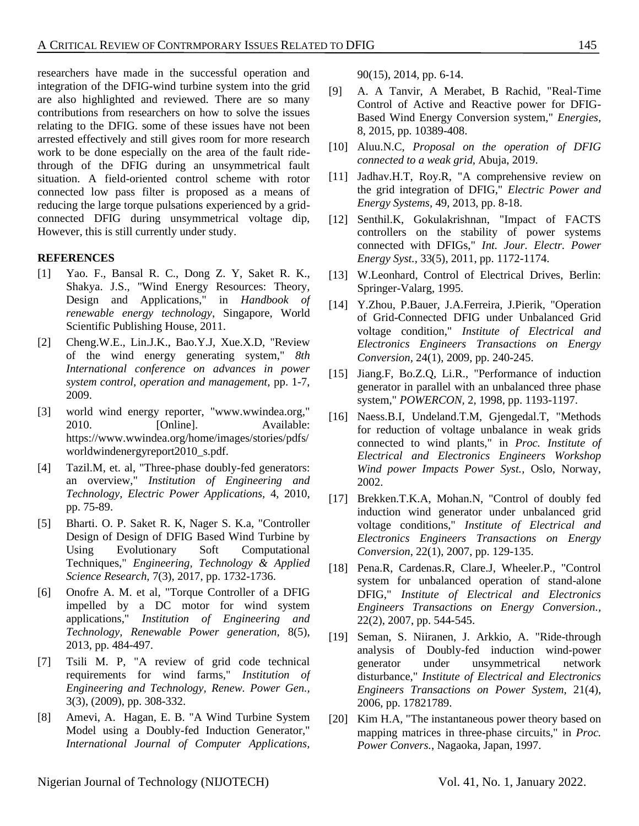researchers have made in the successful operation and integration of the DFIG-wind turbine system into the grid are also highlighted and reviewed. There are so many contributions from researchers on how to solve the issues relating to the DFIG. some of these issues have not been arrested effectively and still gives room for more research work to be done especially on the area of the fault ridethrough of the DFIG during an unsymmetrical fault situation. A field-oriented control scheme with rotor connected low pass filter is proposed as a means of reducing the large torque pulsations experienced by a gridconnected DFIG during unsymmetrical voltage dip, However, this is still currently under study.

### **REFERENCES**

- <span id="page-5-0"></span>[1] Yao. F., Bansal R. C., Dong Z. Y, Saket R. K., Shakya. J.S., "Wind Energy Resources: Theory, Design and Applications," in *Handbook of renewable energy technology*, Singapore, World Scientific Publishing House, 2011.
- <span id="page-5-1"></span>[2] Cheng.W.E., Lin.J.K., Bao.Y.J, Xue.X.D, "Review of the wind energy generating system," *8th International conference on advances in power system control, operation and management,* pp. 1-7, 2009.
- <span id="page-5-2"></span>[3] world wind energy reporter, "www.wwindea.org," 2010. [Online]. Available: https://www.wwindea.org/home/images/stories/pdfs/ worldwindenergyreport2010\_s.pdf.
- <span id="page-5-3"></span>[4] Tazil.M, et. al, "Three-phase doubly-fed generators: an overview," *Institution of Engineering and Technology, Electric Power Applications,* 4, 2010, pp. 75-89.
- <span id="page-5-4"></span>[5] Bharti. O. P. Saket R. K, Nager S. K.a, "Controller Design of Design of DFIG Based Wind Turbine by Using Evolutionary Soft Computational Techniques," *Engineering, Technology & Applied Science Research,* 7(3), 2017, pp. 1732-1736.
- <span id="page-5-5"></span>[6] Onofre A. M. et al, "Torque Controller of a DFIG impelled by a DC motor for wind system applications," *Institution of Engineering and Technology, Renewable Power generation,* 8(5), 2013, pp. 484-497.
- <span id="page-5-6"></span>[7] Tsili M. P, "A review of grid code technical requirements for wind farms," *Institution of Engineering and Technology, Renew. Power Gen.,*  3(3), (2009), pp. 308-332.
- <span id="page-5-7"></span>[8] Amevi, A. Hagan, E. B. "A Wind Turbine System Model using a Doubly-fed Induction Generator," *International Journal of Computer Applications,*

90(15), 2014, pp. 6-14.

- <span id="page-5-8"></span>[9] A. A Tanvir, A Merabet, B Rachid, "Real-Time Control of Active and Reactive power for DFIG-Based Wind Energy Conversion system," *Energies,*  8, 2015, pp. 10389-408.
- <span id="page-5-9"></span>[10] Aluu.N.C, *Proposal on the operation of DFIG connected to a weak grid,* Abuja, 2019.
- <span id="page-5-10"></span>[11] Jadhav.H.T, Roy.R, "A comprehensive review on the grid integration of DFIG," *Electric Power and Energy Systems,* 49, 2013, pp. 8-18.
- <span id="page-5-11"></span>[12] Senthil.K, Gokulakrishnan, "Impact of FACTS controllers on the stability of power systems connected with DFIGs," *Int. Jour. Electr. Power Energy Syst.,* 33(5), 2011, pp. 1172-1174.
- <span id="page-5-12"></span>[13] W.Leonhard, Control of Electrical Drives, Berlin: Springer-Valarg, 1995.
- <span id="page-5-13"></span>[14] Y.Zhou, P.Bauer, J.A.Ferreira, J.Pierik, "Operation of Grid-Connected DFIG under Unbalanced Grid voltage condition," *Institute of Electrical and Electronics Engineers Transactions on Energy Conversion,* 24(1), 2009, pp. 240-245.
- <span id="page-5-14"></span>[15] Jiang.F, Bo.Z.Q, Li.R., "Performance of induction generator in parallel with an unbalanced three phase system," *POWERCON,* 2, 1998, pp. 1193-1197.
- [16] Naess.B.I, Undeland.T.M, Gjengedal.T, "Methods for reduction of voltage unbalance in weak grids connected to wind plants," in *Proc. Institute of Electrical and Electronics Engineers Workshop Wind power Impacts Power Syst.*, Oslo, Norway, 2002.
- <span id="page-5-15"></span>[17] Brekken.T.K.A, Mohan.N, "Control of doubly fed induction wind generator under unbalanced grid voltage conditions," *Institute of Electrical and Electronics Engineers Transactions on Energy Conversion*, 22(1), 2007, pp. 129-135.
- <span id="page-5-18"></span>[18] Pena.R, Cardenas.R, Clare.J, Wheeler.P., "Control system for unbalanced operation of stand-alone DFIG," *Institute of Electrical and Electronics Engineers Transactions on Energy Conversion.,*  22(2), 2007, pp. 544-545.
- <span id="page-5-16"></span>[19] Seman, S. Niiranen, J. Arkkio, A. "Ride-through analysis of Doubly-fed induction wind-power generator under unsymmetrical network disturbance," *Institute of Electrical and Electronics Engineers Transactions on Power System*, 21(4), 2006, pp. 17821789.
- <span id="page-5-17"></span>[20] Kim H.A, "The instantaneous power theory based on mapping matrices in three-phase circuits," in *Proc. Power Convers.*, Nagaoka, Japan, 1997.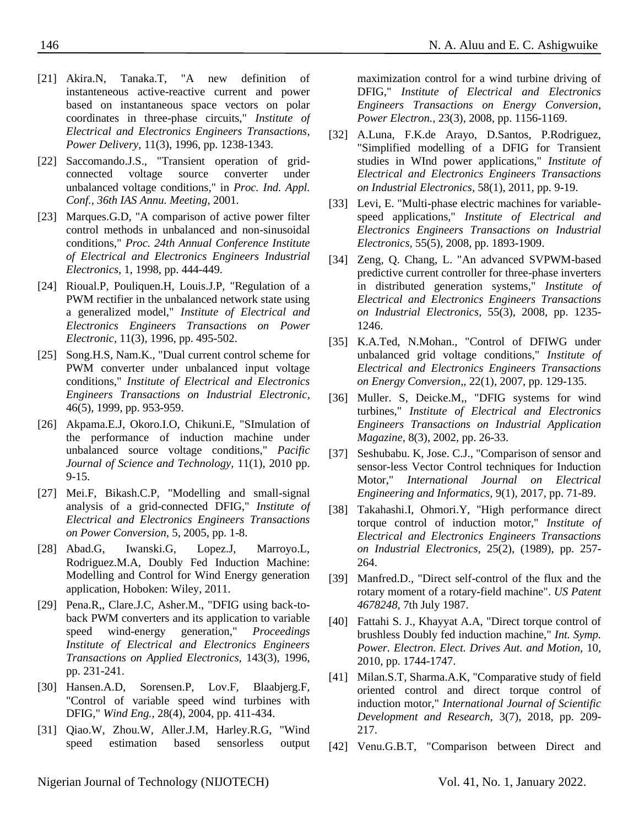- [21] Akira.N, Tanaka.T, "A new definition of instanteneous active-reactive current and power based on instantaneous space vectors on polar coordinates in three-phase circuits," *Institute of Electrical and Electronics Engineers Transactions, Power Delivery,* 11(3), 1996, pp. 1238-1343.
- [22] Saccomando.J.S., "Transient operation of gridconnected voltage source converter under unbalanced voltage conditions," in *Proc. Ind. Appl. Conf., 36th IAS Annu. Meeting*, 2001.
- [23] Marques.G.D, "A comparison of active power filter control methods in unbalanced and non-sinusoidal conditions," *Proc. 24th Annual Conference Institute of Electrical and Electronics Engineers Industrial Electronics,* 1, 1998, pp. 444-449.
- [24] Rioual.P, Pouliquen.H, Louis.J.P, "Regulation of a PWM rectifier in the unbalanced network state using a generalized model," *Institute of Electrical and Electronics Engineers Transactions on Power Electronic,* 11(3), 1996, pp. 495-502.
- [25] Song.H.S, Nam.K., "Dual current control scheme for PWM converter under unbalanced input voltage conditions," *Institute of Electrical and Electronics Engineers Transactions on Industrial Electronic,*  46(5), 1999, pp. 953-959.
- <span id="page-6-6"></span>[26] Akpama.E.J, Okoro.I.O, Chikuni.E, "SImulation of the performance of induction machine under unbalanced source voltage conditions," *Pacific Journal of Science and Technology,* 11(1), 2010 pp. 9-15.
- <span id="page-6-1"></span>[27] Mei.F, Bikash.C.P, "Modelling and small-signal analysis of a grid-connected DFIG," *Institute of Electrical and Electronics Engineers Transactions on Power Conversion,* 5, 2005, pp. 1-8.
- <span id="page-6-2"></span>[28] Abad.G, Iwanski.G, Lopez.J, Marroyo.L, Rodriguez.M.A, Doubly Fed Induction Machine: Modelling and Control for Wind Energy generation application, Hoboken: Wiley, 2011.
- <span id="page-6-3"></span>[29] Pena.R., Clare.J.C, Asher.M., "DFIG using back-toback PWM converters and its application to variable speed wind-energy generation," *Proceedings Institute of Electrical and Electronics Engineers Transactions on Applied Electronics,* 143(3), 1996, pp. 231-241.
- [30] Hansen.A.D, Sorensen.P, Lov.F, Blaabjerg.F, "Control of variable speed wind turbines with DFIG," *Wind Eng.,* 28(4), 2004, pp. 411-434.
- [31] Qiao.W, Zhou.W, Aller.J.M, Harley.R.G, "Wind speed estimation based sensorless output

maximization control for a wind turbine driving of DFIG," *Institute of Electrical and Electronics Engineers Transactions on Energy Conversion*, *Power Electron.,* 23(3), 2008, pp. 1156-1169.

- <span id="page-6-4"></span>[32] A.Luna, F.K.de Arayo, D.Santos, P.Rodriguez, "Simplified modelling of a DFIG for Transient studies in WInd power applications," *Institute of Electrical and Electronics Engineers Transactions on Industrial Electronics,* 58(1), 2011, pp. 9-19.
- [33] Levi, E. "Multi-phase electric machines for variablespeed applications," *Institute of Electrical and Electronics Engineers Transactions on Industrial Electronics,* 55(5), 2008, pp. 1893-1909.
- <span id="page-6-5"></span>[34] Zeng, Q. Chang, L. "An advanced SVPWM-based predictive current controller for three-phase inverters in distributed generation systems," *Institute of Electrical and Electronics Engineers Transactions on Industrial Electronics,* 55(3), 2008, pp. 1235- 1246.
- <span id="page-6-13"></span>[35] K.A.Ted, N.Mohan., "Control of DFIWG under unbalanced grid voltage conditions," *Institute of Electrical and Electronics Engineers Transactions on Energy Conversion*,*,* 22(1), 2007, pp. 129-135.
- <span id="page-6-0"></span>[36] Muller. S, Deicke.M,, "DFIG systems for wind turbines," *Institute of Electrical and Electronics Engineers Transactions on Industrial Application Magazine,* 8(3), 2002, pp. 26-33.
- <span id="page-6-10"></span>[37] Seshubabu. K, Jose. C.J., "Comparison of sensor and sensor-less Vector Control techniques for Induction Motor," *International Journal on Electrical Engineering and Informatics,* 9(1), 2017, pp. 71-89.
- <span id="page-6-8"></span>[38] Takahashi.I, Ohmori.Y, "High performance direct torque control of induction motor," *Institute of Electrical and Electronics Engineers Transactions on Industrial Electronics,* 25(2), (1989), pp. 257- 264.
- <span id="page-6-7"></span>[39] Manfred.D., "Direct self-control of the flux and the rotary moment of a rotary-field machine". *US Patent 4678248*, 7th July 1987.
- <span id="page-6-9"></span>[40] Fattahi S. J., Khayyat A.A, "Direct torque control of brushless Doubly fed induction machine," *Int. Symp. Power. Electron. Elect. Drives Aut. and Motion,* 10, 2010, pp. 1744-1747.
- <span id="page-6-11"></span>[41] Milan.S.T, Sharma.A.K, "Comparative study of field oriented control and direct torque control of induction motor," *International Journal of Scientific Development and Research,* 3(7), 2018, pp. 209- 217.
- <span id="page-6-12"></span>[42] Venu.G.B.T, "Comparison between Direct and

Nigerian Journal of Technology (NIJOTECH) Vol. 41, No. 1, January 2022.